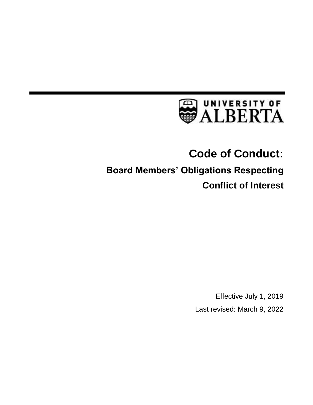

# **Code of Conduct:**

# **Board Members' Obligations Respecting Conflict of Interest**

Effective July 1, 2019 Last revised: March 9, 2022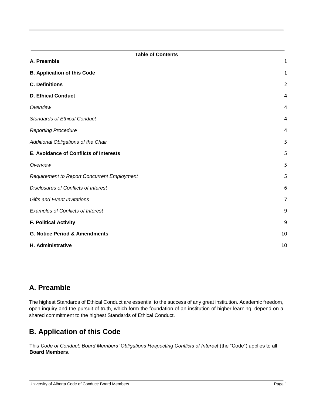| <b>Table of Contents</b>                           |                |
|----------------------------------------------------|----------------|
| A. Preamble                                        | $\mathbf 1$    |
| <b>B. Application of this Code</b>                 | $\mathbf{1}$   |
| <b>C. Definitions</b>                              | $\overline{2}$ |
| <b>D. Ethical Conduct</b>                          | 4              |
| Overview                                           | 4              |
| <b>Standards of Ethical Conduct</b>                | 4              |
| <b>Reporting Procedure</b>                         | 4              |
| Additional Obligations of the Chair                | 5              |
| E. Avoidance of Conflicts of Interests             | 5              |
| Overview                                           | 5              |
| <b>Requirement to Report Concurrent Employment</b> | 5              |
| Disclosures of Conflicts of Interest               | 6              |
| <b>Gifts and Event Invitations</b>                 | $\overline{7}$ |
| <b>Examples of Conflicts of Interest</b>           | 9              |
| <b>F. Political Activity</b>                       | 9              |
| <b>G. Notice Period &amp; Amendments</b>           | 10             |
| H. Administrative                                  | 10             |

# <span id="page-1-0"></span>**A. Preamble**

The highest Standards of Ethical Conduct are essential to the success of any great institution. Academic freedom, open inquiry and the pursuit of truth, which form the foundation of an institution of higher learning, depend on a shared commitment to the highest Standards of Ethical Conduct.

# <span id="page-1-1"></span>**B. Application of this Code**

This *Code of Conduct: Board Members' Obligations Respecting Conflicts of Interest* (the "Code") applies to all **Board Members**.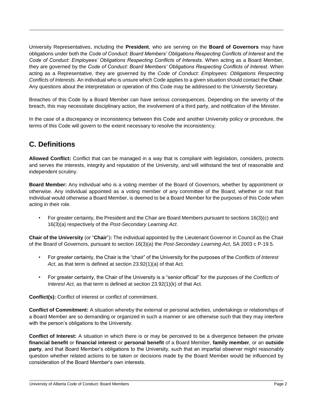University Representatives, including the **President**, who are serving on the **Board of Governors** may have obligations under both the *Code of Conduct: Board Members' Obligations Respecting Conflicts of Interest* and the *Code of Conduct: Employees' Obligations Respecting Conflicts of Interests*. When acting as a Board Member, they are governed by the *Code of Conduct: Board Members' Obligations Respecting Conflicts of Interest*. When acting as a Representative, they are governed by the *Code of Conduct: Employees: Obligations Respecting Conflicts of Interests*. An individual who is unsure which Code applies to a given situation should contact the **Chair**. Any questions about the interpretation or operation of this Code may be addressed to the University Secretary.

Breaches of this Code by a Board Member can have serious consequences. Depending on the severity of the breach, this may necessitate disciplinary action, the involvement of a third party, and notification of the Minister.

In the case of a discrepancy or inconsistency between this Code and another University policy or procedure, the terms of this Code will govern to the extent necessary to resolve the inconsistency.

# <span id="page-2-0"></span>**C. Definitions**

**Allowed Conflict:** Conflict that can be managed in a way that is compliant with legislation, considers, protects and serves the interests, integrity and reputation of the University, and will withstand the test of reasonable and independent scrutiny.

**Board Member:** Any individual who is a voting member of the Board of Governors, whether by appointment or otherwise. Any individual appointed as a voting member of any committee of the Board, whether or not that individual would otherwise a Board Member, is deemed to be a Board Member for the purposes of this Code when acting in their role.

• For greater certainty, the President and the Chair are Board Members pursuant to sections 16(3)(c) and 16(3)(a) respectively of the *Post-Secondary Learning Act*.

**Chair of the University** (or "**Chair**")**:** The individual appointed by the Lieutenant Governor in Council as the Chair of the Board of Governors, pursuant to section 16(3)(a) the *Post-Secondary Learning Act,* SA 2003 c P-19.5.

- For greater certainty, the Chair is the "chair" of the University for the purposes of the *Conflicts of Interest Act*, as that term is defined at section 23.92(1)(a) of that Act.
- For greater certainty, the Chair of the University is a "senior official" for the purposes of the *Conflicts of Interest Act*, as that term is defined at section 23.92(1)(k) of that Act.

**Conflict(s):** Conflict of interest or conflict of commitment.

**Conflict of Commitment:** A situation whereby the external or personal activities, undertakings or relationships of a Board Member are so demanding or organized in such a manner or are otherwise such that they may interfere with the person's obligations to the University.

**Conflict of Interest:** A situation in which there is or may be perceived to be a divergence between the private **financial benefit** or **financial interest** or **personal benefit** of a Board Member, **family member**, or an **outside party**, and that Board Member's obligations to the University, such that an impartial observer might reasonably question whether related actions to be taken or decisions made by the Board Member would be influenced by consideration of the Board Member's own interests.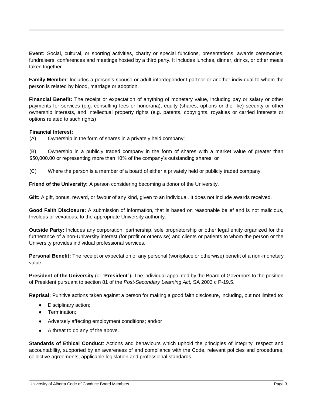**Event:** Social, cultural, or sporting activities, charity or special functions, presentations, awards ceremonies, fundraisers, conferences and meetings hosted by a third party. It includes lunches, dinner, drinks, or other meals taken together.

**Family Member**: Includes a person's spouse or adult interdependent partner or another individual to whom the person is related by blood, marriage or adoption.

**Financial Benefit:** The receipt or expectation of anything of monetary value, including pay or salary or other payments for services (e.g. consulting fees or honoraria), equity (shares, options or the like) security or other ownership interests, and intellectual property rights (e.g. patents, copyrights, royalties or carried interests or options related to such rights)

#### **Financial Interest:**

(A) Ownership in the form of shares in a privately held company;

(B) Ownership in a publicly traded company in the form of shares with a market value of greater than \$50,000.00 or representing more than 10% of the company's outstanding shares; or

(C) Where the person is a member of a board of either a privately held or publicly traded company.

**Friend of the University:** A person considering becoming a donor of the University.

**Gift:** A gift, bonus, reward, or favour of any kind, given to an individual. It does not include awards received.

**Good Faith Disclosure:** A submission of information, that is based on reasonable belief and is not malicious, frivolous or vexatious, to the appropriate University authority.

**Outside Party:** Includes any corporation, partnership, sole proprietorship or other legal entity organized for the furtherance of a non-University interest (for profit or otherwise) and clients or patients to whom the person or the University provides individual professional services.

**Personal Benefit:** The receipt or expectation of any personal (workplace or otherwise) benefit of a non-monetary value.

**President of the University** (or "**President**")**:** The individual appointed by the Board of Governors to the position of President pursuant to section 81 of the *Post-Secondary Learning Act,* SA 2003 c P-19.5.

**Reprisal:** Punitive actions taken against a person for making a good faith disclosure, including, but not limited to:

- Disciplinary action;
- Termination;
- Adversely affecting employment conditions; and/or
- A threat to do any of the above.

**Standards of Ethical Conduct**: Actions and behaviours which uphold the principles of integrity, respect and accountability, supported by an awareness of and compliance with the Code, relevant policies and procedures, collective agreements, applicable legislation and professional standards.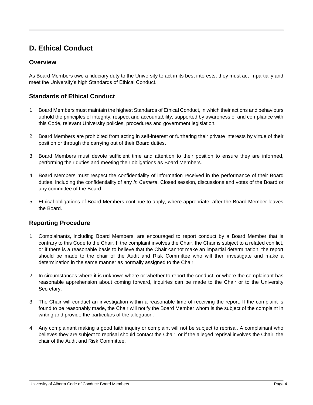# <span id="page-4-0"></span>**D. Ethical Conduct**

#### <span id="page-4-1"></span>**Overview**

As Board Members owe a fiduciary duty to the University to act in its best interests, they must act impartially and meet the University's high Standards of Ethical Conduct.

#### <span id="page-4-2"></span>**Standards of Ethical Conduct**

- 1. Board Members must maintain the highest Standards of Ethical Conduct, in which their actions and behaviours uphold the principles of integrity, respect and accountability, supported by awareness of and compliance with this Code, relevant University policies, procedures and government legislation.
- 2. Board Members are prohibited from acting in self-interest or furthering their private interests by virtue of their position or through the carrying out of their Board duties.
- 3. Board Members must devote sufficient time and attention to their position to ensure they are informed, performing their duties and meeting their obligations as Board Members.
- 4. Board Members must respect the confidentiality of information received in the performance of their Board duties, including the confidentiality of any *In Camera*, Closed session, discussions and votes of the Board or any committee of the Board.
- 5. Ethical obligations of Board Members continue to apply, where appropriate, after the Board Member leaves the Board.

#### <span id="page-4-3"></span>**Reporting Procedure**

- 1. Complainants, including Board Members, are encouraged to report conduct by a Board Member that is contrary to this Code to the Chair. If the complaint involves the Chair, the Chair is subject to a related conflict, or if there is a reasonable basis to believe that the Chair cannot make an impartial determination, the report should be made to the chair of the Audit and Risk Committee who will then investigate and make a determination in the same manner as normally assigned to the Chair.
- 2. In circumstances where it is unknown where or whether to report the conduct, or where the complainant has reasonable apprehension about coming forward, inquiries can be made to the Chair or to the University Secretary.
- 3. The Chair will conduct an investigation within a reasonable time of receiving the report. If the complaint is found to be reasonably made, the Chair will notify the Board Member whom is the subject of the complaint in writing and provide the particulars of the allegation.
- 4. Any complainant making a good faith inquiry or complaint will not be subject to reprisal. A complainant who believes they are subject to reprisal should contact the Chair, or if the alleged reprisal involves the Chair, the chair of the Audit and Risk Committee.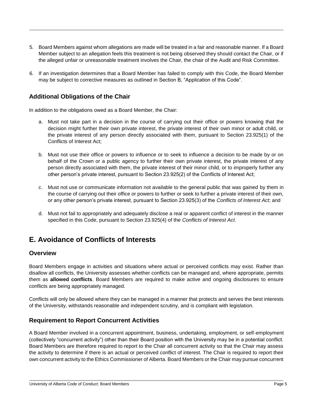- 5. Board Members against whom allegations are made will be treated in a fair and reasonable manner. If a Board Member subject to an allegation feels this treatment is not being observed they should contact the Chair, or if the alleged unfair or unreasonable treatment involves the Chair, the chair of the Audit and Risk Committee.
- 6. If an investigation determines that a Board Member has failed to comply with this Code, the Board Member may be subject to corrective measures as outlined in Section B, "Application of this Code".

#### <span id="page-5-0"></span>**Additional Obligations of the Chair**

In addition to the obligations owed as a Board Member, the Chair:

- a. Must not take part in a decision in the course of carrying out their office or powers knowing that the decision might further their own private interest, the private interest of their own minor or adult child, or the private interest of any person directly associated with them, pursuant to Section 23.925(1) of the Conflicts of Interest Act;
- b. Must not use their office or powers to influence or to seek to influence a decision to be made by or on behalf of the Crown or a public agency to further their own private interest, the private interest of any person directly associated with them, the private interest of their minor child, or to improperly further any other person's private interest, pursuant to Section 23.925(2) of the Conflicts of Interest Act;
- c. Must not use or communicate information not available to the general public that was gained by them in the course of carrying out their office or powers to further or seek to further a private interest of their own, or any other person's private interest, pursuant to Section 23.925(3) of the *Conflicts of Interest Act*; and
- d. Must not fail to appropriately and adequately disclose a real or apparent conflict of interest in the manner specified in this Code, pursuant to Section 23.925(4) of the *Conflicts of Interest Act*.

# <span id="page-5-1"></span>**E. Avoidance of Conflicts of Interests**

#### <span id="page-5-2"></span>**Overview**

Board Members engage in activities and situations where actual or perceived conflicts may exist. Rather than disallow all conflicts, the University assesses whether conflicts can be managed and, where appropriate, permits them as **allowed conflicts**. Board Members are required to make active and ongoing disclosures to ensure conflicts are being appropriately managed.

Conflicts will only be allowed where they can be managed in a manner that protects and serves the best interests of the University, withstands reasonable and independent scrutiny, and is compliant with legislation.

#### <span id="page-5-3"></span>**Requirement to Report Concurrent Activities**

A Board Member involved in a concurrent appointment, business, undertaking, employment, or self-employment (collectively "concurrent activity") other than their Board position with the University may be in a potential conflict. Board Members are therefore required to report to the Chair all concurrent activity so that the Chair may assess the activity to determine if there is an actual or perceived conflict of interest. The Chair is required to report their own concurrent activity to the Ethics Commissioner of Alberta. Board Members or the Chair may pursue concurrent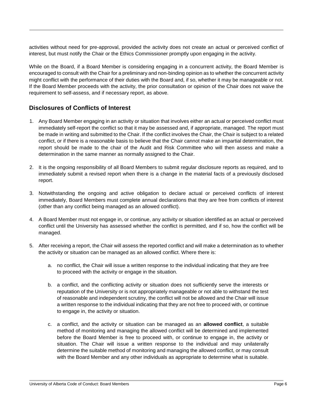activities without need for pre-approval, provided the activity does not create an actual or perceived conflict of interest, but must notify the Chair or the Ethics Commissioner promptly upon engaging in the activity.

While on the Board, if a Board Member is considering engaging in a concurrent activity, the Board Member is encouraged to consult with the Chair for a preliminary and non-binding opinion as to whether the concurrent activity might conflict with the performance of their duties with the Board and, if so, whether it may be manageable or not. If the Board Member proceeds with the activity, the prior consultation or opinion of the Chair does not waive the requirement to self-assess, and if necessary report, as above.

#### <span id="page-6-0"></span>**Disclosures of Conflicts of Interest**

- 1. Any Board Member engaging in an activity or situation that involves either an actual or perceived conflict must immediately self-report the conflict so that it may be assessed and, if appropriate, managed. The report must be made in writing and submitted to the Chair. If the conflict involves the Chair, the Chair is subject to a related conflict, or if there is a reasonable basis to believe that the Chair cannot make an impartial determination, the report should be made to the chair of the Audit and Risk Committee who will then assess and make a determination in the same manner as normally assigned to the Chair.
- 2. It is the ongoing responsibility of all Board Members to submit regular disclosure reports as required, and to immediately submit a revised report when there is a change in the material facts of a previously disclosed report.
- 3. Notwithstanding the ongoing and active obligation to declare actual or perceived conflicts of interest immediately, Board Members must complete annual declarations that they are free from conflicts of interest (other than any conflict being managed as an allowed conflict).
- 4. A Board Member must not engage in, or continue, any activity or situation identified as an actual or perceived conflict until the University has assessed whether the conflict is permitted, and if so, how the conflict will be managed.
- 5. After receiving a report, the Chair will assess the reported conflict and will make a determination as to whether the activity or situation can be managed as an allowed conflict. Where there is:
	- a. no conflict, the Chair will issue a written response to the individual indicating that they are free to proceed with the activity or engage in the situation.
	- b. a conflict, and the conflicting activity or situation does not sufficiently serve the interests or reputation of the University or is not appropriately manageable or not able to withstand the test of reasonable and independent scrutiny, the conflict will not be allowed and the Chair will issue a written response to the individual indicating that they are not free to proceed with, or continue to engage in, the activity or situation.
	- c. a conflict, and the activity or situation can be managed as an **allowed conflict**, a suitable method of monitoring and managing the allowed conflict will be determined and implemented before the Board Member is free to proceed with, or continue to engage in, the activity or situation. The Chair will issue a written response to the individual and may unilaterally determine the suitable method of monitoring and managing the allowed conflict, or may consult with the Board Member and any other individuals as appropriate to determine what is suitable.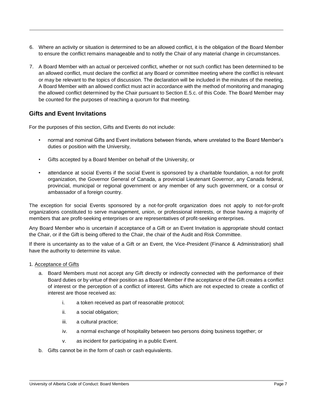- 6. Where an activity or situation is determined to be an allowed conflict, it is the obligation of the Board Member to ensure the conflict remains manageable and to notify the Chair of any material change in circumstances.
- 7. A Board Member with an actual or perceived conflict, whether or not such conflict has been determined to be an allowed conflict, must declare the conflict at any Board or committee meeting where the conflict is relevant or may be relevant to the topics of discussion. The declaration will be included in the minutes of the meeting. A Board Member with an allowed conflict must act in accordance with the method of monitoring and managing the allowed conflict determined by the Chair pursuant to Section E.5.c. of this Code. The Board Member may be counted for the purposes of reaching a quorum for that meeting.

#### <span id="page-7-0"></span>**Gifts and Event Invitations**

For the purposes of this section, Gifts and Events do not include:

- normal and nominal Gifts and Event invitations between friends, where unrelated to the Board Member's duties or position with the University,
- Gifts accepted by a Board Member on behalf of the University, or
- attendance at social Events if the social Event is sponsored by a charitable foundation, a not-for profit organization, the Governor General of Canada, a provincial Lieutenant Governor, any Canada federal, provincial, municipal or regional government or any member of any such government, or a consul or ambassador of a foreign country.

The exception for social Events sponsored by a not-for-profit organization does not apply to not-for-profit organizations constituted to serve management, union, or professional interests, or those having a majority of members that are profit-seeking enterprises or are representatives of profit-seeking enterprises.

Any Board Member who is uncertain if acceptance of a Gift or an Event Invitation is appropriate should contact the Chair, or if the Gift is being offered to the Chair, the chair of the Audit and Risk Committee.

If there is uncertainty as to the value of a Gift or an Event, the Vice-President (Finance & Administration) shall have the authority to determine its value.

#### 1. Acceptance of Gifts

- a. Board Members must not accept any Gift directly or indirectly connected with the performance of their Board duties or by virtue of their position as a Board Member if the acceptance of the Gift creates a conflict of interest or the perception of a conflict of interest. Gifts which are not expected to create a conflict of interest are those received as:
	- i. a token received as part of reasonable protocol;
	- ii. a social obligation;
	- iii. a cultural practice;
	- iv. a normal exchange of hospitality between two persons doing business together; or
	- v. as incident for participating in a public Event.
- b. Gifts cannot be in the form of cash or cash equivalents.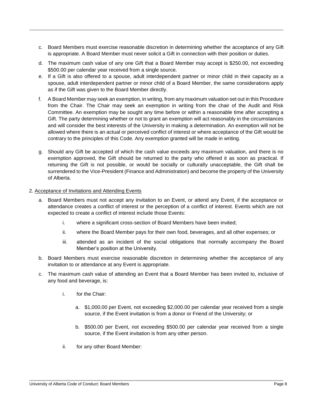- c. Board Members must exercise reasonable discretion in determining whether the acceptance of any Gift is appropriate. A Board Member must never solicit a Gift in connection with their position or duties.
- d. The maximum cash value of any one Gift that a Board Member may accept is \$250.00, not exceeding \$500.00 per calendar year received from a single source.
- e. If a Gift is also offered to a spouse, adult interdependent partner or minor child in their capacity as a spouse, adult interdependent partner or minor child of a Board Member, the same considerations apply as if the Gift was given to the Board Member directly.
- f. A Board Member may seek an exemption, in writing, from any maximum valuation set out in this Procedure from the Chair. The Chair may seek an exemption in writing from the chair of the Audit and Risk Committee. An exemption may be sought any time before or within a reasonable time after accepting a Gift. The party determining whether or not to grant an exemption will act reasonably in the circumstances and will consider the best interests of the University in making a determination. An exemption will not be allowed where there is an actual or perceived conflict of interest or where acceptance of the Gift would be contrary to the principles of this Code. Any exemption granted will be made in writing.
- g. Should any Gift be accepted of which the cash value exceeds any maximum valuation, and there is no exemption approved, the Gift should be returned to the party who offered it as soon as practical. If returning the Gift is not possible, or would be socially or culturally unacceptable, the Gift shall be surrendered to the Vice-President (Finance and Administration) and become the property of the University of Alberta.

#### 2. Acceptance of Invitations and Attending Events

- a. Board Members must not accept any invitation to an Event, or attend any Event, if the acceptance or attendance creates a conflict of interest or the perception of a conflict of interest. Events which are not expected to create a conflict of interest include those Events:
	- i. where a significant cross-section of Board Members have been invited;
	- ii. where the Board Member pays for their own food, beverages, and all other expenses; or
	- iii. attended as an incident of the social obligations that normally accompany the Board Member's position at the University.
- b. Board Members must exercise reasonable discretion in determining whether the acceptance of any invitation to or attendance at any Event is appropriate.
- c. The maximum cash value of attending an Event that a Board Member has been invited to, inclusive of any food and beverage, is:
	- i. for the Chair:
		- a. \$1,000.00 per Event, not exceeding \$2,000.00 per calendar year received from a single source, if the Event invitation is from a donor or Friend of the University; or
		- b. \$500.00 per Event, not exceeding \$500.00 per calendar year received from a single source, if the Event invitation is from any other person.
	- ii. for any other Board Member: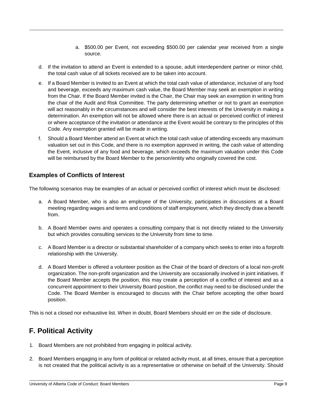- a. \$500.00 per Event, not exceeding \$500.00 per calendar year received from a single source.
- d. If the invitation to attend an Event is extended to a spouse, adult interdependent partner or minor child, the total cash value of all tickets received are to be taken into account.
- e. If a Board Member is invited to an Event at which the total cash value of attendance, inclusive of any food and beverage, exceeds any maximum cash value, the Board Member may seek an exemption in writing from the Chair. If the Board Member invited is the Chair, the Chair may seek an exemption in writing from the chair of the Audit and Risk Committee. The party determining whether or not to grant an exemption will act reasonably in the circumstances and will consider the best interests of the University in making a determination. An exemption will not be allowed where there is an actual or perceived conflict of interest or where acceptance of the invitation or attendance at the Event would be contrary to the principles of this Code. Any exemption granted will be made in writing.
- f. Should a Board Member attend an Event at which the total cash value of attending exceeds any maximum valuation set out in this Code, and there is no exemption approved in writing, the cash value of attending the Event, inclusive of any food and beverage, which exceeds the maximum valuation under this Code will be reimbursed by the Board Member to the person/entity who originally covered the cost.

#### <span id="page-9-0"></span>**Examples of Conflicts of Interest**

The following scenarios may be examples of an actual or perceived conflict of interest which must be disclosed:

- a. A Board Member, who is also an employee of the University, participates in discussions at a Board meeting regarding wages and terms and conditions of staff employment, which they directly draw a benefit from.
- b. A Board Member owns and operates a consulting company that is not directly related to the University but which provides consulting services to the University from time to time.
- c. A Board Member is a director or substantial shareholder of a company which seeks to enter into a forprofit relationship with the University.
- d. A Board Member is offered a volunteer position as the Chair of the board of directors of a local non-profit organization. The non-profit organization and the University are occasionally involved in joint initiatives. If the Board Member accepts the position, this may create a perception of a conflict of interest and as a concurrent appointment to their University Board position, the conflict may need to be disclosed under the Code. The Board Member is encouraged to discuss with the Chair before accepting the other board position.

This is not a closed nor exhaustive list. When in doubt, Board Members should err on the side of disclosure.

# <span id="page-9-1"></span>**F. Political Activity**

- 1. Board Members are not prohibited from engaging in political activity.
- 2. Board Members engaging in any form of political or related activity must, at all times, ensure that a perception is not created that the political activity is as a representative or otherwise on behalf of the University. Should